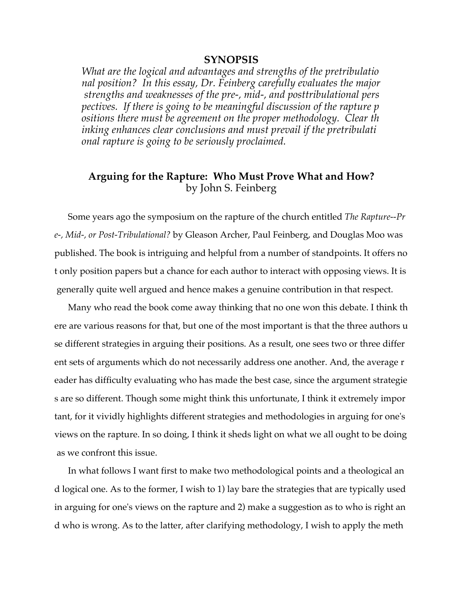## **SYNOPSIS**

*What are the logical and advantages and strengths of the pretribulatio nal position? In this essay, Dr. Feinberg carefully evaluates the major strengths and weaknesses of the pre-, mid-, and posttribulational pers pectives. If there is going to be meaningful discussion of the rapture p ositions there must be agreement on the proper methodology. Clear th inking enhances clear conclusions and must prevail if the pretribulati onal rapture is going to be seriously proclaimed.*

# **Arguing for the Rapture: Who Must Prove What and How?** by John S. Feinberg

Some years ago the symposium on the rapture of the church entitled *The Rapture--Pr e-, Mid-, or Post-Tribulational?* by Gleason Archer, Paul Feinberg, and Douglas Moo was published. The book is intriguing and helpful from a number of standpoints. It offers no t only position papers but a chance for each author to interact with opposing views. It is generally quite well argued and hence makes a genuine contribution in that respect.

Many who read the book come away thinking that no one won this debate. I think th ere are various reasons for that, but one of the most important is that the three authors u se different strategies in arguing their positions. As a result, one sees two or three differ ent sets of arguments which do not necessarily address one another. And, the average r eader has difficulty evaluating who has made the best case, since the argument strategie s are so different. Though some might think this unfortunate, I think it extremely impor tant, for it vividly highlights different strategies and methodologies in arguing for one's views on the rapture. In so doing, I think it sheds light on what we all ought to be doing as we confront this issue.

In what follows I want first to make two methodological points and a theological an d logical one. As to the former, I wish to 1) lay bare the strategies that are typically used in arguing for one's views on the rapture and 2) make a suggestion as to who is right an d who is wrong. As to the latter, after clarifying methodology, I wish to apply the meth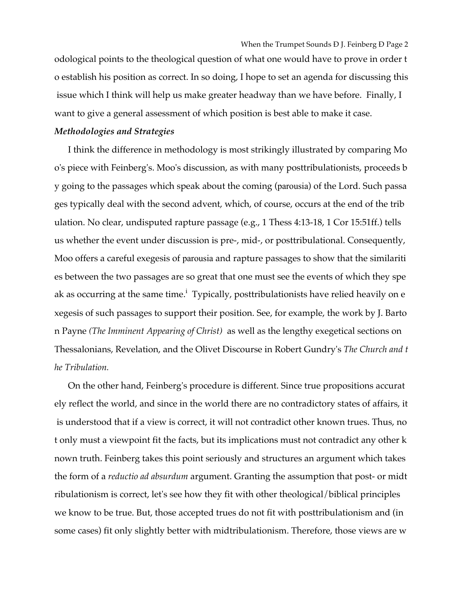odological points to the theological question of what one would have to prove in order t o establish his position as correct. In so doing, I hope to set an agenda for discussing this issue which I think will help us make greater headway than we have before. Finally, I want to give a general assessment of which position is best able to make it case.

#### *Methodologies and Strategies*

I think the difference in methodology is most strikingly illustrated by comparing Mo o's piece with Feinberg's. Moo's discussion, as with many posttribulationists, proceeds b y going to the passages which speak about the coming (parousia) of the Lord. Such passa ges typically deal with the second advent, which, of course, occurs at the end of the trib ulation. No clear, undisputed rapture passage (e.g., 1 Thess 4:13-18, 1 Cor 15:51ff.) tells us whether the event under discussion is pre-, mid-, or posttribulational. Consequently, Moo offers a careful exegesis of parousia and rapture passages to show that the similariti es between the two passages are so great that one must see the events of which they spe ak as occurring at the same time.<sup>i</sup> Typically, posttribulationists have relied heavily on e xegesis of such passages to support their position. See, for example, the work by J. Barto n Payne *(The Imminent Appearing of Christ)* as well as the lengthy exegetical sections on Thessalonians, Revelation, and the Olivet Discourse in Robert Gundry's *The Church and t he Tribulation.*

On the other hand, Feinberg's procedure is different. Since true propositions accurat ely reflect the world, and since in the world there are no contradictory states of affairs, it is understood that if a view is correct, it will not contradict other known trues. Thus, no t only must a viewpoint fit the facts, but its implications must not contradict any other k nown truth. Feinberg takes this point seriously and structures an argument which takes the form of a *reductio ad absurdum* argument. Granting the assumption that post- or midt ribulationism is correct, let's see how they fit with other theological/biblical principles we know to be true. But, those accepted trues do not fit with posttribulationism and (in some cases) fit only slightly better with midtribulationism. Therefore, those views are w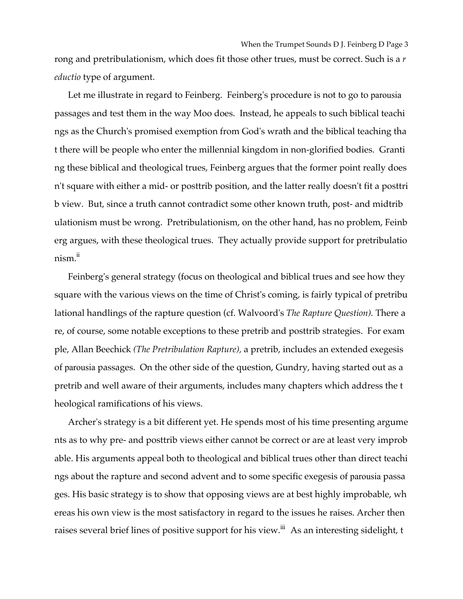rong and pretribulationism, which does fit those other trues, must be correct. Such is a *r eductio* type of argument.

Let me illustrate in regard to Feinberg. Feinberg's procedure is not to go to parousia passages and test them in the way Moo does. Instead, he appeals to such biblical teachi ngs as the Church's promised exemption from God's wrath and the biblical teaching tha t there will be people who enter the millennial kingdom in non-glorified bodies. Granti ng these biblical and theological trues, Feinberg argues that the former point really does n't square with either a mid- or posttrib position, and the latter really doesn't fit a posttri b view. But, since a truth cannot contradict some other known truth, post- and midtrib ulationism must be wrong. Pretribulationism, on the other hand, has no problem, Feinb erg argues, with these theological trues. They actually provide support for pretribulatio nism.<sup>ii</sup>

Feinberg's general strategy (focus on theological and biblical trues and see how they square with the various views on the time of Christ's coming, is fairly typical of pretribu lational handlings of the rapture question (cf. Walvoord's *The Rapture Question).* There a re, of course, some notable exceptions to these pretrib and posttrib strategies. For exam ple, Allan Beechick *(The Pretribulation Rapture),* a pretrib, includes an extended exegesis of parousia passages. On the other side of the question, Gundry, having started out as a pretrib and well aware of their arguments, includes many chapters which address the t heological ramifications of his views.

Archer's strategy is a bit different yet. He spends most of his time presenting argume nts as to why pre- and posttrib views either cannot be correct or are at least very improb able. His arguments appeal both to theological and biblical trues other than direct teachi ngs about the rapture and second advent and to some specific exegesis of parousia passa ges. His basic strategy is to show that opposing views are at best highly improbable, wh ereas his own view is the most satisfactory in regard to the issues he raises. Archer then raises several brief lines of positive support for his view.<sup>iii</sup> As an interesting sidelight, t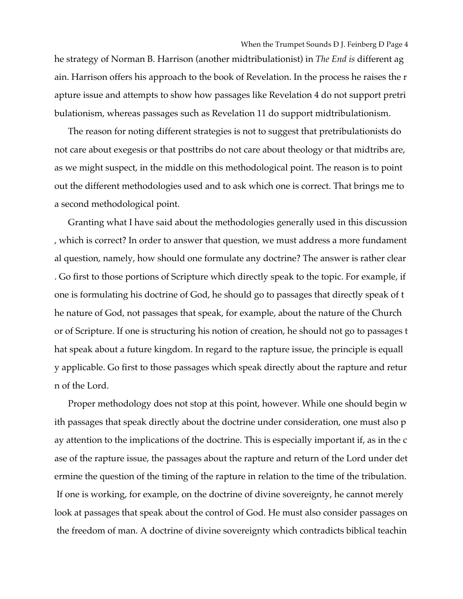he strategy of Norman B. Harrison (another midtribulationist) in *The End is* different ag ain. Harrison offers his approach to the book of Revelation. In the process he raises the r apture issue and attempts to show how passages like Revelation 4 do not support pretri bulationism, whereas passages such as Revelation 11 do support midtribulationism.

The reason for noting different strategies is not to suggest that pretribulationists do not care about exegesis or that posttribs do not care about theology or that midtribs are, as we might suspect, in the middle on this methodological point. The reason is to point out the different methodologies used and to ask which one is correct. That brings me to a second methodological point.

Granting what I have said about the methodologies generally used in this discussion , which is correct? In order to answer that question, we must address a more fundament al question, namely, how should one formulate any doctrine? The answer is rather clear . Go first to those portions of Scripture which directly speak to the topic. For example, if one is formulating his doctrine of God, he should go to passages that directly speak of t he nature of God, not passages that speak, for example, about the nature of the Church or of Scripture. If one is structuring his notion of creation, he should not go to passages t hat speak about a future kingdom. In regard to the rapture issue, the principle is equall y applicable. Go first to those passages which speak directly about the rapture and retur n of the Lord.

Proper methodology does not stop at this point, however. While one should begin w ith passages that speak directly about the doctrine under consideration, one must also p ay attention to the implications of the doctrine. This is especially important if, as in the c ase of the rapture issue, the passages about the rapture and return of the Lord under det ermine the question of the timing of the rapture in relation to the time of the tribulation. If one is working, for example, on the doctrine of divine sovereignty, he cannot merely look at passages that speak about the control of God. He must also consider passages on the freedom of man. A doctrine of divine sovereignty which contradicts biblical teachin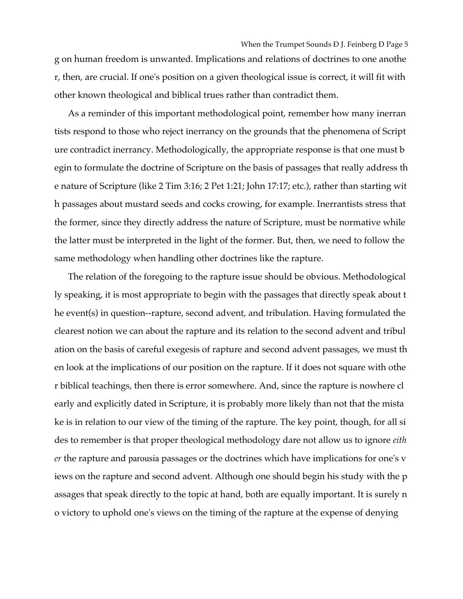g on human freedom is unwanted. Implications and relations of doctrines to one anothe r, then, are crucial. If one's position on a given theological issue is correct, it will fit with other known theological and biblical trues rather than contradict them.

As a reminder of this important methodological point, remember how many inerran tists respond to those who reject inerrancy on the grounds that the phenomena of Script ure contradict inerrancy. Methodologically, the appropriate response is that one must b egin to formulate the doctrine of Scripture on the basis of passages that really address th e nature of Scripture (like 2 Tim 3:16; 2 Pet 1:21; John 17:17; etc.), rather than starting wit h passages about mustard seeds and cocks crowing, for example. Inerrantists stress that the former, since they directly address the nature of Scripture, must be normative while the latter must be interpreted in the light of the former. But, then, we need to follow the same methodology when handling other doctrines like the rapture.

The relation of the foregoing to the rapture issue should be obvious. Methodological ly speaking, it is most appropriate to begin with the passages that directly speak about t he event(s) in question--rapture, second advent, and tribulation. Having formulated the clearest notion we can about the rapture and its relation to the second advent and tribul ation on the basis of careful exegesis of rapture and second advent passages, we must th en look at the implications of our position on the rapture. If it does not square with othe r biblical teachings, then there is error somewhere. And, since the rapture is nowhere cl early and explicitly dated in Scripture, it is probably more likely than not that the mista ke is in relation to our view of the timing of the rapture. The key point, though, for all si des to remember is that proper theological methodology dare not allow us to ignore *eith er* the rapture and parousia passages or the doctrines which have implications for one's v iews on the rapture and second advent. Although one should begin his study with the p assages that speak directly to the topic at hand, both are equally important. It is surely n o victory to uphold one's views on the timing of the rapture at the expense of denying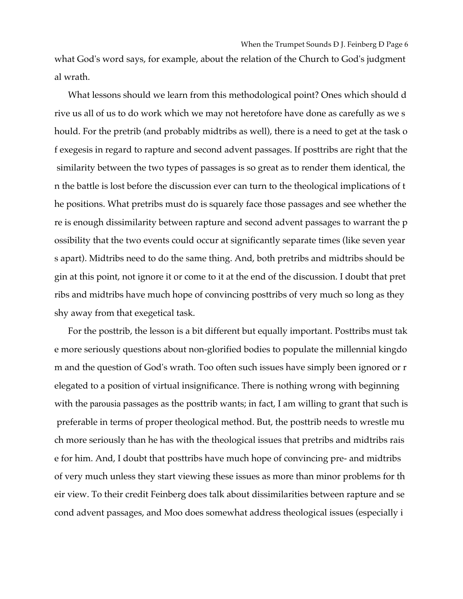what God's word says, for example, about the relation of the Church to God's judgment al wrath.

 What lessons should we learn from this methodological point? Ones which should d rive us all of us to do work which we may not heretofore have done as carefully as we s hould. For the pretrib (and probably midtribs as well), there is a need to get at the task o f exegesis in regard to rapture and second advent passages. If posttribs are right that the similarity between the two types of passages is so great as to render them identical, the n the battle is lost before the discussion ever can turn to the theological implications of t he positions. What pretribs must do is squarely face those passages and see whether the re is enough dissimilarity between rapture and second advent passages to warrant the p ossibility that the two events could occur at significantly separate times (like seven year s apart). Midtribs need to do the same thing. And, both pretribs and midtribs should be gin at this point, not ignore it or come to it at the end of the discussion. I doubt that pret ribs and midtribs have much hope of convincing posttribs of very much so long as they shy away from that exegetical task.

 For the posttrib, the lesson is a bit different but equally important. Posttribs must tak e more seriously questions about non-glorified bodies to populate the millennial kingdo m and the question of God's wrath. Too often such issues have simply been ignored or r elegated to a position of virtual insignificance. There is nothing wrong with beginning with the parousia passages as the posttrib wants; in fact, I am willing to grant that such is preferable in terms of proper theological method. But, the posttrib needs to wrestle mu ch more seriously than he has with the theological issues that pretribs and midtribs rais e for him. And, I doubt that posttribs have much hope of convincing pre- and midtribs of very much unless they start viewing these issues as more than minor problems for th eir view. To their credit Feinberg does talk about dissimilarities between rapture and se cond advent passages, and Moo does somewhat address theological issues (especially i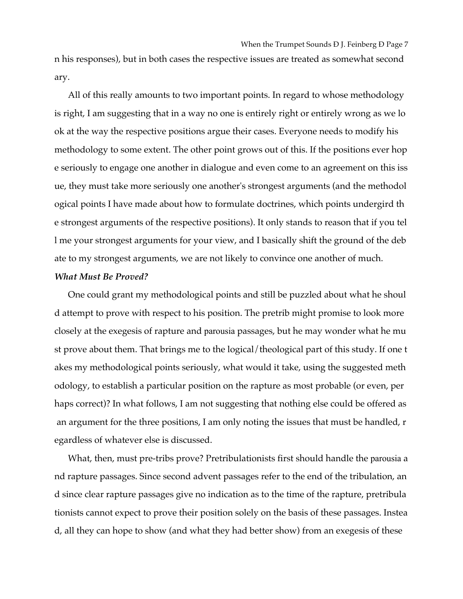n his responses), but in both cases the respective issues are treated as somewhat second ary.

All of this really amounts to two important points. In regard to whose methodology is right, I am suggesting that in a way no one is entirely right or entirely wrong as we lo ok at the way the respective positions argue their cases. Everyone needs to modify his methodology to some extent. The other point grows out of this. If the positions ever hop e seriously to engage one another in dialogue and even come to an agreement on this iss ue, they must take more seriously one another's strongest arguments (and the methodol ogical points I have made about how to formulate doctrines, which points undergird th e strongest arguments of the respective positions). It only stands to reason that if you tel l me your strongest arguments for your view, and I basically shift the ground of the deb ate to my strongest arguments, we are not likely to convince one another of much.

### *What Must Be Proved?*

One could grant my methodological points and still be puzzled about what he shoul d attempt to prove with respect to his position. The pretrib might promise to look more closely at the exegesis of rapture and parousia passages, but he may wonder what he mu st prove about them. That brings me to the logical/theological part of this study. If one t akes my methodological points seriously, what would it take, using the suggested meth odology, to establish a particular position on the rapture as most probable (or even, per haps correct)? In what follows, I am not suggesting that nothing else could be offered as an argument for the three positions, I am only noting the issues that must be handled, r egardless of whatever else is discussed.

What, then, must pre-tribs prove? Pretribulationists first should handle the parousia a nd rapture passages. Since second advent passages refer to the end of the tribulation, an d since clear rapture passages give no indication as to the time of the rapture, pretribula tionists cannot expect to prove their position solely on the basis of these passages. Instea d, all they can hope to show (and what they had better show) from an exegesis of these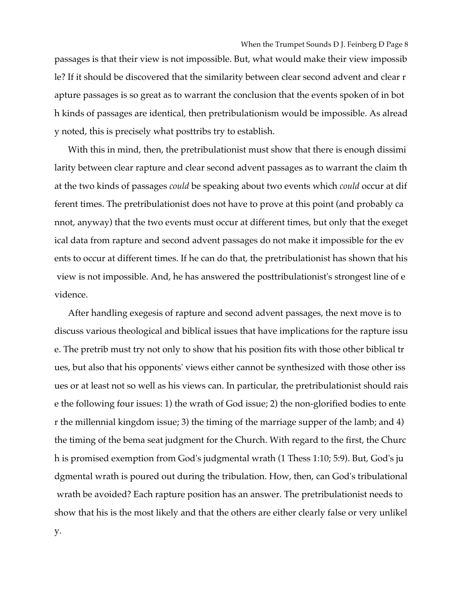passages is that their view is not impossible. But, what would make their view impossib le? If it should be discovered that the similarity between clear second advent and clear r apture passages is so great as to warrant the conclusion that the events spoken of in bot h kinds of passages are identical, then pretribulationism would be impossible. As alread y noted, this is precisely what posttribs try to establish.

With this in mind, then, the pretribulationist must show that there is enough dissimi larity between clear rapture and clear second advent passages as to warrant the claim th at the two kinds of passages *could* be speaking about two events which *could* occur at dif ferent times. The pretribulationist does not have to prove at this point (and probably ca nnot, anyway) that the two events must occur at different times, but only that the exeget ical data from rapture and second advent passages do not make it impossible for the ev ents to occur at different times. If he can do that, the pretribulationist has shown that his view is not impossible. And, he has answered the posttribulationist's strongest line of e vidence.

After handling exegesis of rapture and second advent passages, the next move is to discuss various theological and biblical issues that have implications for the rapture issu e. The pretrib must try not only to show that his position fits with those other biblical tr ues, but also that his opponents' views either cannot be synthesized with those other iss ues or at least not so well as his views can. In particular, the pretribulationist should rais e the following four issues: 1) the wrath of God issue; 2) the non-glorified bodies to ente r the millennial kingdom issue; 3) the timing of the marriage supper of the lamb; and 4) the timing of the bema seat judgment for the Church. With regard to the first, the Churc h is promised exemption from God's judgmental wrath (1 Thess 1:10; 5:9). But, God's ju dgmental wrath is poured out during the tribulation. How, then, can God's tribulational wrath be avoided? Each rapture position has an answer. The pretribulationist needs to show that his is the most likely and that the others are either clearly false or very unlikel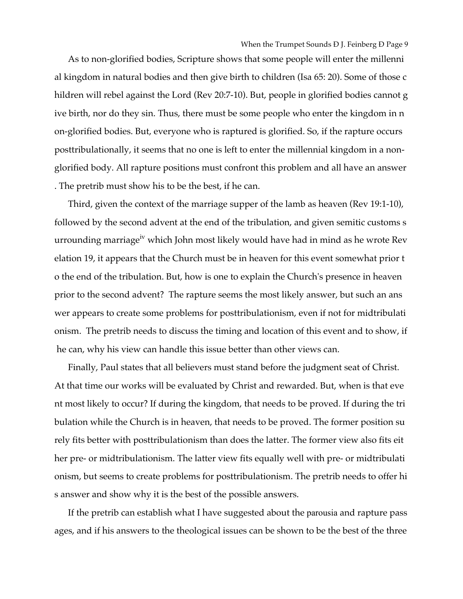As to non-glorified bodies, Scripture shows that some people will enter the millenni al kingdom in natural bodies and then give birth to children (Isa 65: 20). Some of those c hildren will rebel against the Lord (Rev 20:7-10). But, people in glorified bodies cannot g ive birth, nor do they sin. Thus, there must be some people who enter the kingdom in n on-glorified bodies. But, everyone who is raptured is glorified. So, if the rapture occurs posttribulationally, it seems that no one is left to enter the millennial kingdom in a nonglorified body. All rapture positions must confront this problem and all have an answer . The pretrib must show his to be the best, if he can.

Third, given the context of the marriage supper of the lamb as heaven (Rev 19:1-10), followed by the second advent at the end of the tribulation, and given semitic customs s urrounding marriage<sup>iv</sup> which John most likely would have had in mind as he wrote Rev elation 19, it appears that the Church must be in heaven for this event somewhat prior t o the end of the tribulation. But, how is one to explain the Church's presence in heaven prior to the second advent? The rapture seems the most likely answer, but such an ans wer appears to create some problems for posttribulationism, even if not for midtribulati onism. The pretrib needs to discuss the timing and location of this event and to show, if he can, why his view can handle this issue better than other views can.

Finally, Paul states that all believers must stand before the judgment seat of Christ. At that time our works will be evaluated by Christ and rewarded. But, when is that eve nt most likely to occur? If during the kingdom, that needs to be proved. If during the tri bulation while the Church is in heaven, that needs to be proved. The former position su rely fits better with posttribulationism than does the latter. The former view also fits eit her pre- or midtribulationism. The latter view fits equally well with pre- or midtribulati onism, but seems to create problems for posttribulationism. The pretrib needs to offer hi s answer and show why it is the best of the possible answers.

If the pretrib can establish what I have suggested about the parousia and rapture pass ages, and if his answers to the theological issues can be shown to be the best of the three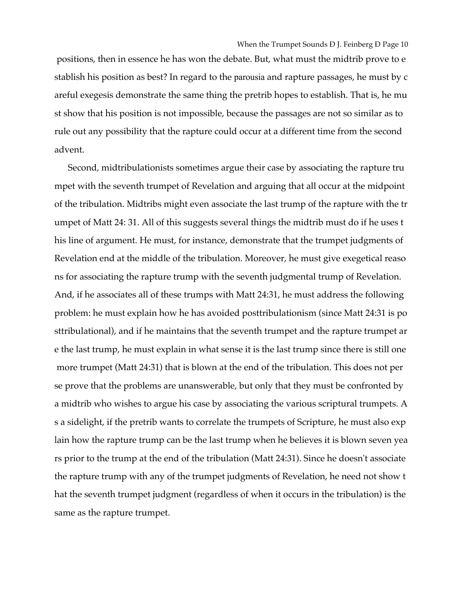positions, then in essence he has won the debate. But, what must the midtrib prove to e stablish his position as best? In regard to the parousia and rapture passages, he must by c areful exegesis demonstrate the same thing the pretrib hopes to establish. That is, he mu st show that his position is not impossible, because the passages are not so similar as to rule out any possibility that the rapture could occur at a different time from the second advent.

Second, midtribulationists sometimes argue their case by associating the rapture tru mpet with the seventh trumpet of Revelation and arguing that all occur at the midpoint of the tribulation. Midtribs might even associate the last trump of the rapture with the tr umpet of Matt 24: 31. All of this suggests several things the midtrib must do if he uses t his line of argument. He must, for instance, demonstrate that the trumpet judgments of Revelation end at the middle of the tribulation. Moreover, he must give exegetical reaso ns for associating the rapture trump with the seventh judgmental trump of Revelation. And, if he associates all of these trumps with Matt 24:31, he must address the following problem: he must explain how he has avoided posttribulationism (since Matt 24:31 is po sttribulational), and if he maintains that the seventh trumpet and the rapture trumpet ar e the last trump, he must explain in what sense it is the last trump since there is still one more trumpet (Matt 24:31) that is blown at the end of the tribulation. This does not per se prove that the problems are unanswerable, but only that they must be confronted by a midtrib who wishes to argue his case by associating the various scriptural trumpets. A s a sidelight, if the pretrib wants to correlate the trumpets of Scripture, he must also exp lain how the rapture trump can be the last trump when he believes it is blown seven yea rs prior to the trump at the end of the tribulation (Matt 24:31). Since he doesn't associate the rapture trump with any of the trumpet judgments of Revelation, he need not show t hat the seventh trumpet judgment (regardless of when it occurs in the tribulation) is the same as the rapture trumpet.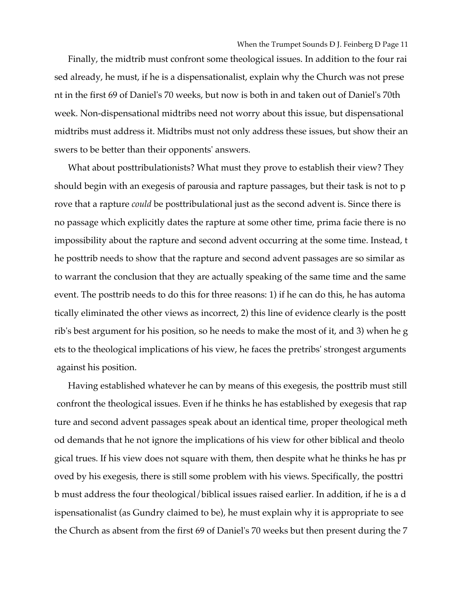Finally, the midtrib must confront some theological issues. In addition to the four rai sed already, he must, if he is a dispensationalist, explain why the Church was not prese nt in the first 69 of Daniel's 70 weeks, but now is both in and taken out of Daniel's 70th week. Non-dispensational midtribs need not worry about this issue, but dispensational midtribs must address it. Midtribs must not only address these issues, but show their an swers to be better than their opponents' answers.

What about posttribulationists? What must they prove to establish their view? They should begin with an exegesis of parousia and rapture passages, but their task is not to p rove that a rapture *could* be posttribulational just as the second advent is. Since there is no passage which explicitly dates the rapture at some other time, prima facie there is no impossibility about the rapture and second advent occurring at the some time. Instead, t he posttrib needs to show that the rapture and second advent passages are so similar as to warrant the conclusion that they are actually speaking of the same time and the same event. The posttrib needs to do this for three reasons: 1) if he can do this, he has automa tically eliminated the other views as incorrect, 2) this line of evidence clearly is the postt rib's best argument for his position, so he needs to make the most of it, and 3) when he g ets to the theological implications of his view, he faces the pretribs' strongest arguments against his position.

Having established whatever he can by means of this exegesis, the posttrib must still confront the theological issues. Even if he thinks he has established by exegesis that rap ture and second advent passages speak about an identical time, proper theological meth od demands that he not ignore the implications of his view for other biblical and theolo gical trues. If his view does not square with them, then despite what he thinks he has pr oved by his exegesis, there is still some problem with his views. Specifically, the posttri b must address the four theological/biblical issues raised earlier. In addition, if he is a d ispensationalist (as Gundry claimed to be), he must explain why it is appropriate to see the Church as absent from the first 69 of Daniel's 70 weeks but then present during the 7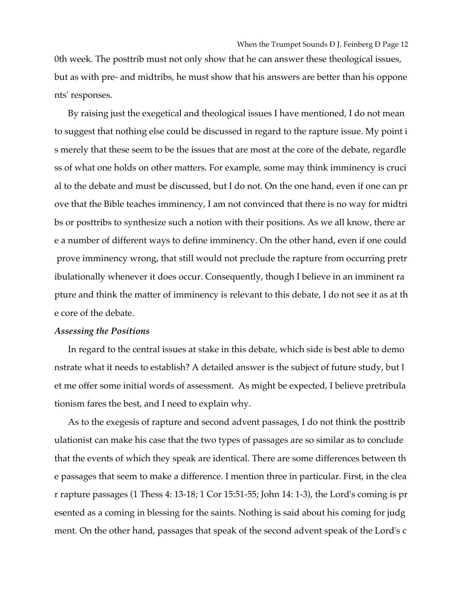0th week. The posttrib must not only show that he can answer these theological issues, but as with pre- and midtribs, he must show that his answers are better than his oppone nts' responses.

By raising just the exegetical and theological issues I have mentioned, I do not mean to suggest that nothing else could be discussed in regard to the rapture issue. My point i s merely that these seem to be the issues that are most at the core of the debate, regardle ss of what one holds on other matters. For example, some may think imminency is cruci al to the debate and must be discussed, but I do not. On the one hand, even if one can pr ove that the Bible teaches imminency, I am not convinced that there is no way for midtri bs or posttribs to synthesize such a notion with their positions. As we all know, there ar e a number of different ways to define imminency. On the other hand, even if one could prove imminency wrong, that still would not preclude the rapture from occurring pretr ibulationally whenever it does occur. Consequently, though I believe in an imminent ra pture and think the matter of imminency is relevant to this debate, I do not see it as at th e core of the debate.

### *Assessing the Positions*

In regard to the central issues at stake in this debate, which side is best able to demo nstrate what it needs to establish? A detailed answer is the subject of future study, but l et me offer some initial words of assessment. As might be expected, I believe pretribula tionism fares the best, and I need to explain why.

As to the exegesis of rapture and second advent passages, I do not think the posttrib ulationist can make his case that the two types of passages are so similar as to conclude that the events of which they speak are identical. There are some differences between th e passages that seem to make a difference. I mention three in particular. First, in the clea r rapture passages (1 Thess 4: 13-18; 1 Cor 15:51-55; John 14: 1-3), the Lord's coming is pr esented as a coming in blessing for the saints. Nothing is said about his coming for judg ment. On the other hand, passages that speak of the second advent speak of the Lord's c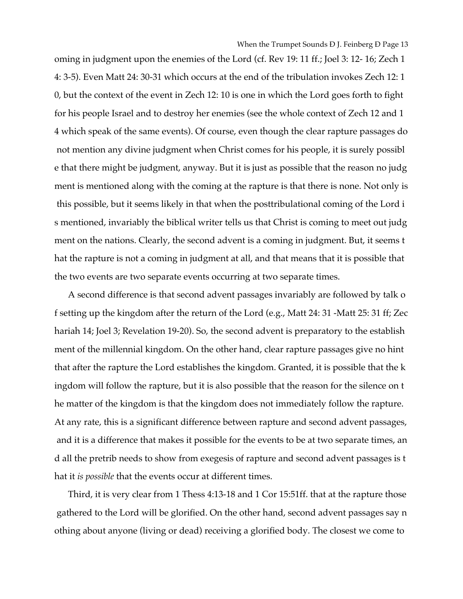oming in judgment upon the enemies of the Lord (cf. Rev 19: 11 ff.; Joel 3: 12- 16; Zech 1 4: 3-5). Even Matt 24: 30-31 which occurs at the end of the tribulation invokes Zech 12: 1 0, but the context of the event in Zech 12: 10 is one in which the Lord goes forth to fight for his people Israel and to destroy her enemies (see the whole context of Zech 12 and 1 4 which speak of the same events). Of course, even though the clear rapture passages do not mention any divine judgment when Christ comes for his people, it is surely possibl e that there might be judgment, anyway. But it is just as possible that the reason no judg ment is mentioned along with the coming at the rapture is that there is none. Not only is this possible, but it seems likely in that when the posttribulational coming of the Lord i s mentioned, invariably the biblical writer tells us that Christ is coming to meet out judg ment on the nations. Clearly, the second advent is a coming in judgment. But, it seems t hat the rapture is not a coming in judgment at all, and that means that it is possible that the two events are two separate events occurring at two separate times.

A second difference is that second advent passages invariably are followed by talk o f setting up the kingdom after the return of the Lord (e.g., Matt 24: 31 -Matt 25: 31 ff; Zec hariah 14; Joel 3; Revelation 19-20). So, the second advent is preparatory to the establish ment of the millennial kingdom. On the other hand, clear rapture passages give no hint that after the rapture the Lord establishes the kingdom. Granted, it is possible that the k ingdom will follow the rapture, but it is also possible that the reason for the silence on t he matter of the kingdom is that the kingdom does not immediately follow the rapture. At any rate, this is a significant difference between rapture and second advent passages, and it is a difference that makes it possible for the events to be at two separate times, an d all the pretrib needs to show from exegesis of rapture and second advent passages is t hat it *is possible* that the events occur at different times.

Third, it is very clear from 1 Thess 4:13-18 and 1 Cor 15:51ff. that at the rapture those gathered to the Lord will be glorified. On the other hand, second advent passages say n othing about anyone (living or dead) receiving a glorified body. The closest we come to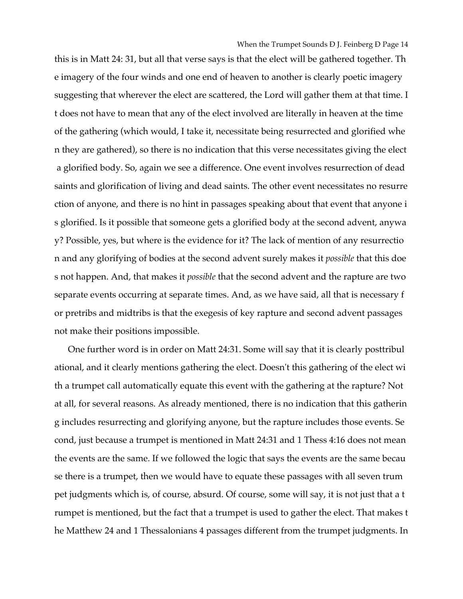this is in Matt 24: 31, but all that verse says is that the elect will be gathered together. Th e imagery of the four winds and one end of heaven to another is clearly poetic imagery suggesting that wherever the elect are scattered, the Lord will gather them at that time. I t does not have to mean that any of the elect involved are literally in heaven at the time of the gathering (which would, I take it, necessitate being resurrected and glorified whe n they are gathered), so there is no indication that this verse necessitates giving the elect a glorified body. So, again we see a difference. One event involves resurrection of dead saints and glorification of living and dead saints. The other event necessitates no resurre ction of anyone, and there is no hint in passages speaking about that event that anyone i s glorified. Is it possible that someone gets a glorified body at the second advent, anywa y? Possible, yes, but where is the evidence for it? The lack of mention of any resurrectio n and any glorifying of bodies at the second advent surely makes it *possible* that this doe s not happen. And, that makes it *possible* that the second advent and the rapture are two separate events occurring at separate times. And, as we have said, all that is necessary f or pretribs and midtribs is that the exegesis of key rapture and second advent passages not make their positions impossible.

One further word is in order on Matt 24:31. Some will say that it is clearly posttribul ational, and it clearly mentions gathering the elect. Doesn't this gathering of the elect wi th a trumpet call automatically equate this event with the gathering at the rapture? Not at all, for several reasons. As already mentioned, there is no indication that this gatherin g includes resurrecting and glorifying anyone, but the rapture includes those events. Se cond, just because a trumpet is mentioned in Matt 24:31 and 1 Thess 4:16 does not mean the events are the same. If we followed the logic that says the events are the same becau se there is a trumpet, then we would have to equate these passages with all seven trum pet judgments which is, of course, absurd. Of course, some will say, it is not just that a t rumpet is mentioned, but the fact that a trumpet is used to gather the elect. That makes t he Matthew 24 and 1 Thessalonians 4 passages different from the trumpet judgments. In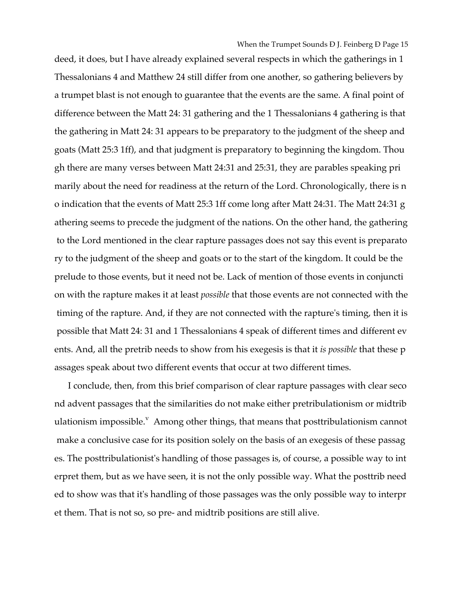deed, it does, but I have already explained several respects in which the gatherings in 1 Thessalonians 4 and Matthew 24 still differ from one another, so gathering believers by a trumpet blast is not enough to guarantee that the events are the same. A final point of difference between the Matt 24: 31 gathering and the 1 Thessalonians 4 gathering is that the gathering in Matt 24: 31 appears to be preparatory to the judgment of the sheep and goats (Matt 25:3 1ff), and that judgment is preparatory to beginning the kingdom. Thou gh there are many verses between Matt 24:31 and 25:31, they are parables speaking pri marily about the need for readiness at the return of the Lord. Chronologically, there is n o indication that the events of Matt 25:3 1ff come long after Matt 24:31. The Matt 24:31 g athering seems to precede the judgment of the nations. On the other hand, the gathering to the Lord mentioned in the clear rapture passages does not say this event is preparato ry to the judgment of the sheep and goats or to the start of the kingdom. It could be the prelude to those events, but it need not be. Lack of mention of those events in conjuncti on with the rapture makes it at least *possible* that those events are not connected with the timing of the rapture. And, if they are not connected with the rapture's timing, then it is possible that Matt 24: 31 and 1 Thessalonians 4 speak of different times and different ev ents. And, all the pretrib needs to show from his exegesis is that it *is possible* that these p assages speak about two different events that occur at two different times.

I conclude, then, from this brief comparison of clear rapture passages with clear seco nd advent passages that the similarities do not make either pretribulationism or midtrib ulationism impossible. $^{\text{v}}\,$  Among other things, that means that posttribulationism cannot make a conclusive case for its position solely on the basis of an exegesis of these passag es. The posttribulationist's handling of those passages is, of course, a possible way to int erpret them, but as we have seen, it is not the only possible way. What the posttrib need ed to show was that it's handling of those passages was the only possible way to interpr et them. That is not so, so pre- and midtrib positions are still alive.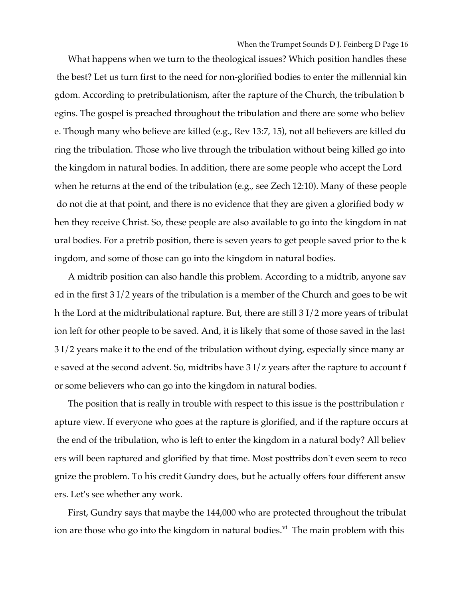What happens when we turn to the theological issues? Which position handles these the best? Let us turn first to the need for non-glorified bodies to enter the millennial kin gdom. According to pretribulationism, after the rapture of the Church, the tribulation b egins. The gospel is preached throughout the tribulation and there are some who believ e. Though many who believe are killed (e.g., Rev 13:7, 15), not all believers are killed du ring the tribulation. Those who live through the tribulation without being killed go into the kingdom in natural bodies. In addition, there are some people who accept the Lord when he returns at the end of the tribulation (e.g., see Zech 12:10). Many of these people do not die at that point, and there is no evidence that they are given a glorified body w hen they receive Christ. So, these people are also available to go into the kingdom in nat ural bodies. For a pretrib position, there is seven years to get people saved prior to the k ingdom, and some of those can go into the kingdom in natural bodies.

A midtrib position can also handle this problem. According to a midtrib, anyone sav ed in the first 3 I/2 years of the tribulation is a member of the Church and goes to be wit h the Lord at the midtribulational rapture. But, there are still 3 I/2 more years of tribulat ion left for other people to be saved. And, it is likely that some of those saved in the last 3 I/2 years make it to the end of the tribulation without dying, especially since many ar e saved at the second advent. So, midtribs have 3 I/z years after the rapture to account f or some believers who can go into the kingdom in natural bodies.

The position that is really in trouble with respect to this issue is the posttribulation r apture view. If everyone who goes at the rapture is glorified, and if the rapture occurs at the end of the tribulation, who is left to enter the kingdom in a natural body? All believ ers will been raptured and glorified by that time. Most posttribs don't even seem to reco gnize the problem. To his credit Gundry does, but he actually offers four different answ ers. Let's see whether any work.

First, Gundry says that maybe the 144,000 who are protected throughout the tribulat ion are those who go into the kingdom in natural bodies.<sup>vi</sup> The main problem with this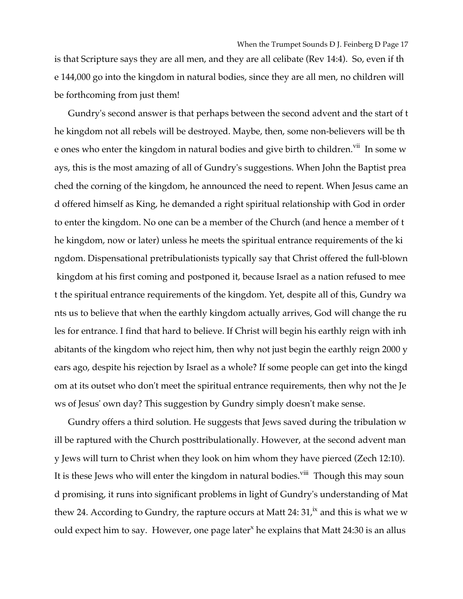is that Scripture says they are all men, and they are all celibate (Rev 14:4). So, even if th e 144,000 go into the kingdom in natural bodies, since they are all men, no children will be forthcoming from just them!

Gundry's second answer is that perhaps between the second advent and the start of t he kingdom not all rebels will be destroyed. Maybe, then, some non-believers will be th e ones who enter the kingdom in natural bodies and give birth to children.<sup>vii</sup> In some w ays, this is the most amazing of all of Gundry's suggestions. When John the Baptist prea ched the corning of the kingdom, he announced the need to repent. When Jesus came an d offered himself as King, he demanded a right spiritual relationship with God in order to enter the kingdom. No one can be a member of the Church (and hence a member of t he kingdom, now or later) unless he meets the spiritual entrance requirements of the ki ngdom. Dispensational pretribulationists typically say that Christ offered the full-blown kingdom at his first coming and postponed it, because Israel as a nation refused to mee t the spiritual entrance requirements of the kingdom. Yet, despite all of this, Gundry wa nts us to believe that when the earthly kingdom actually arrives, God will change the ru les for entrance. I find that hard to believe. If Christ will begin his earthly reign with inh abitants of the kingdom who reject him, then why not just begin the earthly reign 2000 y ears ago, despite his rejection by Israel as a whole? If some people can get into the kingd om at its outset who don't meet the spiritual entrance requirements, then why not the Je ws of Jesus' own day? This suggestion by Gundry simply doesn't make sense.

Gundry offers a third solution. He suggests that Jews saved during the tribulation w ill be raptured with the Church posttribulationally. However, at the second advent man y Jews will turn to Christ when they look on him whom they have pierced (Zech 12:10). It is these Jews who will enter the kingdom in natural bodies.<sup>viii</sup> Though this may soun d promising, it runs into significant problems in light of Gundry's understanding of Mat thew 24. According to Gundry, the rapture occurs at Matt 24:  $31<sup>ix</sup>$  and this is what we w ould expect him to say. However, one page later<sup>x</sup> he explains that Matt 24:30 is an allus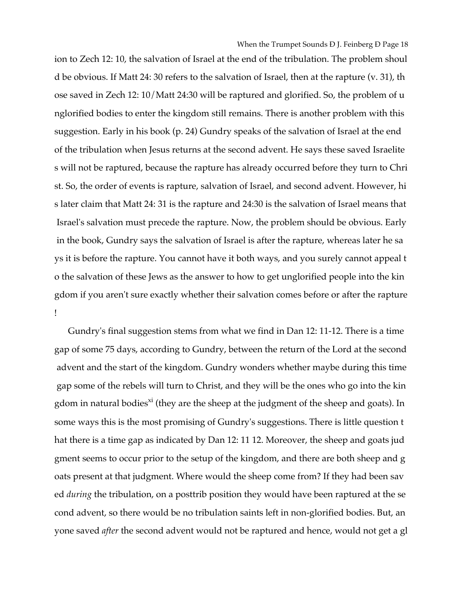ion to Zech 12: 10, the salvation of Israel at the end of the tribulation. The problem shoul d be obvious. If Matt 24: 30 refers to the salvation of Israel, then at the rapture (v. 31), th ose saved in Zech 12: 10/Matt 24:30 will be raptured and glorified. So, the problem of u nglorified bodies to enter the kingdom still remains. There is another problem with this suggestion. Early in his book (p. 24) Gundry speaks of the salvation of Israel at the end of the tribulation when Jesus returns at the second advent. He says these saved Israelite s will not be raptured, because the rapture has already occurred before they turn to Chri st. So, the order of events is rapture, salvation of Israel, and second advent. However, hi s later claim that Matt 24: 31 is the rapture and 24:30 is the salvation of Israel means that Israel's salvation must precede the rapture. Now, the problem should be obvious. Early in the book, Gundry says the salvation of Israel is after the rapture, whereas later he sa ys it is before the rapture. You cannot have it both ways, and you surely cannot appeal t o the salvation of these Jews as the answer to how to get unglorified people into the kin gdom if you aren't sure exactly whether their salvation comes before or after the rapture !<br>!

Gundry's final suggestion stems from what we find in Dan 12: 11-12. There is a time gap of some 75 days, according to Gundry, between the return of the Lord at the second advent and the start of the kingdom. Gundry wonders whether maybe during this time gap some of the rebels will turn to Christ, and they will be the ones who go into the kin gdom in natural bodies<sup>xi</sup> (they are the sheep at the judgment of the sheep and goats). In some ways this is the most promising of Gundry's suggestions. There is little question t hat there is a time gap as indicated by Dan 12: 11 12. Moreover, the sheep and goats jud gment seems to occur prior to the setup of the kingdom, and there are both sheep and g oats present at that judgment. Where would the sheep come from? If they had been sav ed *during* the tribulation, on a posttrib position they would have been raptured at the se cond advent, so there would be no tribulation saints left in non-glorified bodies. But, an yone saved *after* the second advent would not be raptured and hence, would not get a gl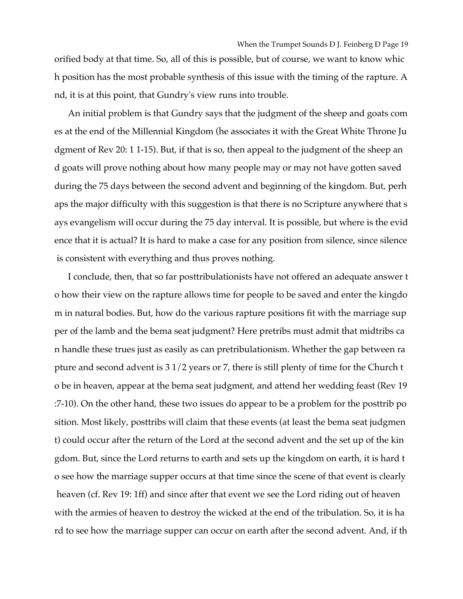orified body at that time. So, all of this is possible, but of course, we want to know whic h position has the most probable synthesis of this issue with the timing of the rapture. A nd, it is at this point, that Gundry's view runs into trouble.

An initial problem is that Gundry says that the judgment of the sheep and goats com es at the end of the Millennial Kingdom (he associates it with the Great White Throne Ju dgment of Rev 20: 1 1-15). But, if that is so, then appeal to the judgment of the sheep an d goats will prove nothing about how many people may or may not have gotten saved during the 75 days between the second advent and beginning of the kingdom. But, perh aps the major difficulty with this suggestion is that there is no Scripture anywhere that s ays evangelism will occur during the 75 day interval. It is possible, but where is the evid ence that it is actual? It is hard to make a case for any position from silence, since silence is consistent with everything and thus proves nothing.

I conclude, then, that so far posttribulationists have not offered an adequate answer t o how their view on the rapture allows time for people to be saved and enter the kingdo m in natural bodies. But, how do the various rapture positions fit with the marriage sup per of the lamb and the bema seat judgment? Here pretribs must admit that midtribs ca n handle these trues just as easily as can pretribulationism. Whether the gap between ra pture and second advent is 3 1/2 years or 7, there is still plenty of time for the Church t o be in heaven, appear at the bema seat judgment, and attend her wedding feast (Rev 19 :7-10). On the other hand, these two issues do appear to be a problem for the posttrib po sition. Most likely, posttribs will claim that these events (at least the bema seat judgmen t) could occur after the return of the Lord at the second advent and the set up of the kin gdom. But, since the Lord returns to earth and sets up the kingdom on earth, it is hard t o see how the marriage supper occurs at that time since the scene of that event is clearly heaven (cf. Rev 19: 1ff) and since after that event we see the Lord riding out of heaven with the armies of heaven to destroy the wicked at the end of the tribulation. So, it is ha rd to see how the marriage supper can occur on earth after the second advent. And, if th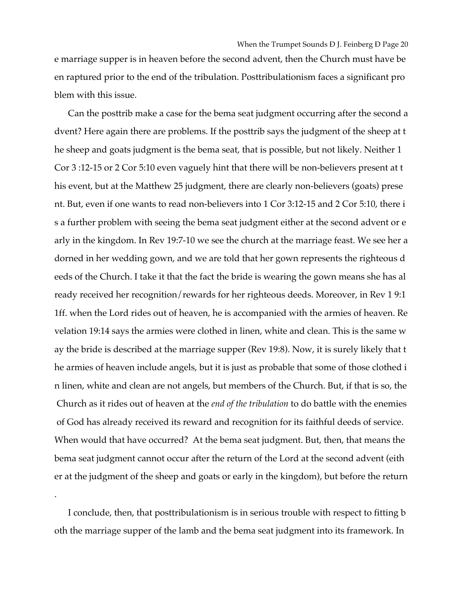e marriage supper is in heaven before the second advent, then the Church must have be en raptured prior to the end of the tribulation. Posttribulationism faces a significant pro blem with this issue.

Can the posttrib make a case for the bema seat judgment occurring after the second a dvent? Here again there are problems. If the posttrib says the judgment of the sheep at t he sheep and goats judgment is the bema seat, that is possible, but not likely. Neither 1 Cor 3 :12-15 or 2 Cor 5:10 even vaguely hint that there will be non-believers present at t his event, but at the Matthew 25 judgment, there are clearly non-believers (goats) prese nt. But, even if one wants to read non-believers into 1 Cor 3:12-15 and 2 Cor 5:10, there i s a further problem with seeing the bema seat judgment either at the second advent or e arly in the kingdom. In Rev 19:7-10 we see the church at the marriage feast. We see her a dorned in her wedding gown, and we are told that her gown represents the righteous d eeds of the Church. I take it that the fact the bride is wearing the gown means she has al ready received her recognition/rewards for her righteous deeds. Moreover, in Rev 1 9:1 1ff. when the Lord rides out of heaven, he is accompanied with the armies of heaven. Re velation 19:14 says the armies were clothed in linen, white and clean. This is the same w ay the bride is described at the marriage supper (Rev 19:8). Now, it is surely likely that t he armies of heaven include angels, but it is just as probable that some of those clothed i n linen, white and clean are not angels, but members of the Church. But, if that is so, the Church as it rides out of heaven at the *end of the tribulation* to do battle with the enemies of God has already received its reward and recognition for its faithful deeds of service. When would that have occurred? At the bema seat judgment. But, then, that means the bema seat judgment cannot occur after the return of the Lord at the second advent (eith er at the judgment of the sheep and goats or early in the kingdom), but before the return

I conclude, then, that posttribulationism is in serious trouble with respect to fitting b oth the marriage supper of the lamb and the bema seat judgment into its framework. In

.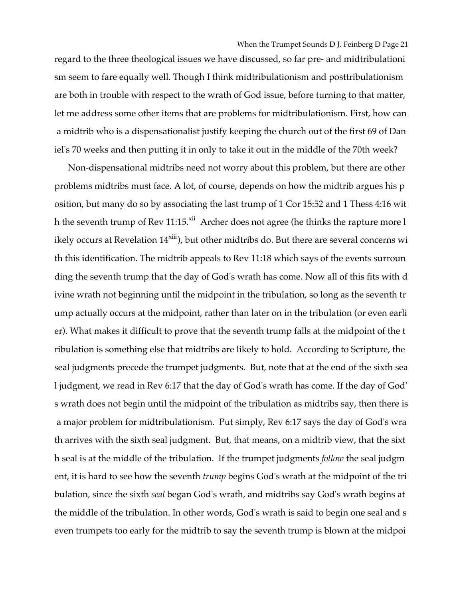regard to the three theological issues we have discussed, so far pre- and midtribulationi sm seem to fare equally well. Though I think midtribulationism and posttribulationism are both in trouble with respect to the wrath of God issue, before turning to that matter, let me address some other items that are problems for midtribulationism. First, how can a midtrib who is a dispensationalist justify keeping the church out of the first 69 of Dan iel's 70 weeks and then putting it in only to take it out in the middle of the 70th week?

Non-dispensational midtribs need not worry about this problem, but there are other problems midtribs must face. A lot, of course, depends on how the midtrib argues his p osition, but many do so by associating the last trump of 1 Cor 15:52 and 1 Thess 4:16 wit h the seventh trump of Rev  $11:15^{xii}$  Archer does not agree (he thinks the rapture more l ikely occurs at Revelation  $14^{xiii}$ ), but other midtribs do. But there are several concerns wi th this identification. The midtrib appeals to Rev 11:18 which says of the events surroun ding the seventh trump that the day of God's wrath has come. Now all of this fits with d ivine wrath not beginning until the midpoint in the tribulation, so long as the seventh tr ump actually occurs at the midpoint, rather than later on in the tribulation (or even earli er). What makes it difficult to prove that the seventh trump falls at the midpoint of the t ribulation is something else that midtribs are likely to hold. According to Scripture, the seal judgments precede the trumpet judgments. But, note that at the end of the sixth sea l judgment, we read in Rev 6:17 that the day of God's wrath has come. If the day of God' s wrath does not begin until the midpoint of the tribulation as midtribs say, then there is a major problem for midtribulationism. Put simply, Rev 6:17 says the day of God's wra th arrives with the sixth seal judgment. But, that means, on a midtrib view, that the sixt h seal is at the middle of the tribulation. If the trumpet judgments *follow* the seal judgm ent, it is hard to see how the seventh *trump* begins God's wrath at the midpoint of the tri bulation, since the sixth *seal* began God's wrath, and midtribs say God's wrath begins at the middle of the tribulation. In other words, God's wrath is said to begin one seal and s even trumpets too early for the midtrib to say the seventh trump is blown at the midpoi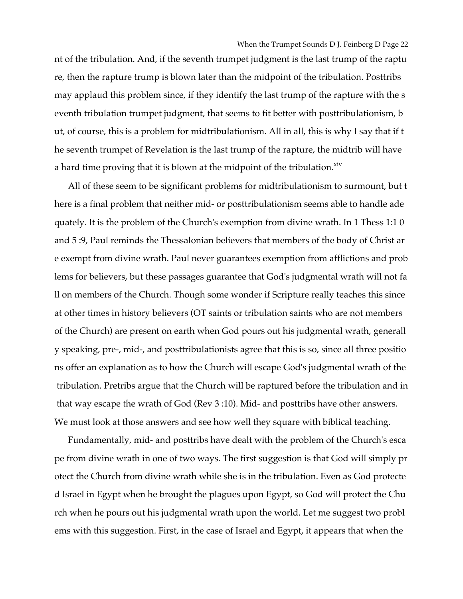nt of the tribulation. And, if the seventh trumpet judgment is the last trump of the raptu re, then the rapture trump is blown later than the midpoint of the tribulation. Posttribs may applaud this problem since, if they identify the last trump of the rapture with the s eventh tribulation trumpet judgment, that seems to fit better with posttribulationism, b ut, of course, this is a problem for midtribulationism. All in all, this is why I say that if t he seventh trumpet of Revelation is the last trump of the rapture, the midtrib will have a hard time proving that it is blown at the midpoint of the tribulation.<sup>xiv</sup>

All of these seem to be significant problems for midtribulationism to surmount, but t here is a final problem that neither mid- or posttribulationism seems able to handle ade quately. It is the problem of the Church's exemption from divine wrath. In 1 Thess 1:1 0 and 5 :9, Paul reminds the Thessalonian believers that members of the body of Christ ar e exempt from divine wrath. Paul never guarantees exemption from afflictions and prob lems for believers, but these passages guarantee that God's judgmental wrath will not fa ll on members of the Church. Though some wonder if Scripture really teaches this since at other times in history believers (OT saints or tribulation saints who are not members of the Church) are present on earth when God pours out his judgmental wrath, generall y speaking, pre-, mid-, and posttribulationists agree that this is so, since all three positio ns offer an explanation as to how the Church will escape God's judgmental wrath of the tribulation. Pretribs argue that the Church will be raptured before the tribulation and in that way escape the wrath of God (Rev 3 :10). Mid- and posttribs have other answers. We must look at those answers and see how well they square with biblical teaching.

Fundamentally, mid- and posttribs have dealt with the problem of the Church's esca pe from divine wrath in one of two ways. The first suggestion is that God will simply pr otect the Church from divine wrath while she is in the tribulation. Even as God protecte d Israel in Egypt when he brought the plagues upon Egypt, so God will protect the Chu rch when he pours out his judgmental wrath upon the world. Let me suggest two probl ems with this suggestion. First, in the case of Israel and Egypt, it appears that when the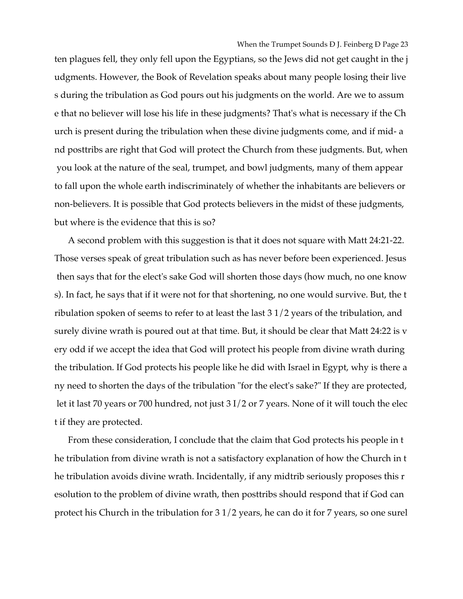ten plagues fell, they only fell upon the Egyptians, so the Jews did not get caught in the j udgments. However, the Book of Revelation speaks about many people losing their live s during the tribulation as God pours out his judgments on the world. Are we to assum e that no believer will lose his life in these judgments? That's what is necessary if the Ch urch is present during the tribulation when these divine judgments come, and if mid- a nd posttribs are right that God will protect the Church from these judgments. But, when you look at the nature of the seal, trumpet, and bowl judgments, many of them appear to fall upon the whole earth indiscriminately of whether the inhabitants are believers or non-believers. It is possible that God protects believers in the midst of these judgments, but where is the evidence that this is so?

A second problem with this suggestion is that it does not square with Matt 24:21-22. Those verses speak of great tribulation such as has never before been experienced. Jesus then says that for the elect's sake God will shorten those days (how much, no one know s). In fact, he says that if it were not for that shortening, no one would survive. But, the t ribulation spoken of seems to refer to at least the last 3 1/2 years of the tribulation, and surely divine wrath is poured out at that time. But, it should be clear that Matt 24:22 is v ery odd if we accept the idea that God will protect his people from divine wrath during the tribulation. If God protects his people like he did with Israel in Egypt, why is there a ny need to shorten the days of the tribulation "for the elect's sake?" If they are protected, let it last 70 years or 700 hundred, not just 3 I/2 or 7 years. None of it will touch the elec t if they are protected.

From these consideration, I conclude that the claim that God protects his people in t he tribulation from divine wrath is not a satisfactory explanation of how the Church in t he tribulation avoids divine wrath. Incidentally, if any midtrib seriously proposes this r esolution to the problem of divine wrath, then posttribs should respond that if God can protect his Church in the tribulation for 3 1/2 years, he can do it for 7 years, so one surel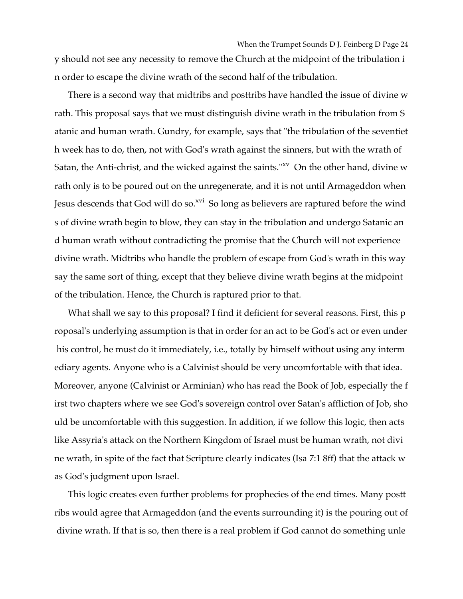y should not see any necessity to remove the Church at the midpoint of the tribulation i n order to escape the divine wrath of the second half of the tribulation.

There is a second way that midtribs and posttribs have handled the issue of divine w rath. This proposal says that we must distinguish divine wrath in the tribulation from S atanic and human wrath. Gundry, for example, says that "the tribulation of the seventiet h week has to do, then, not with God's wrath against the sinners, but with the wrath of Satan, the Anti-christ, and the wicked against the saints."<sup>xv</sup> On the other hand, divine w rath only is to be poured out on the unregenerate, and it is not until Armageddon when Jesus descends that God will do so.<sup>xvi</sup> So long as believers are raptured before the wind s of divine wrath begin to blow, they can stay in the tribulation and undergo Satanic an d human wrath without contradicting the promise that the Church will not experience divine wrath. Midtribs who handle the problem of escape from God's wrath in this way say the same sort of thing, except that they believe divine wrath begins at the midpoint of the tribulation. Hence, the Church is raptured prior to that.

What shall we say to this proposal? I find it deficient for several reasons. First, this p roposal's underlying assumption is that in order for an act to be God's act or even under his control, he must do it immediately, i.e., totally by himself without using any interm ediary agents. Anyone who is a Calvinist should be very uncomfortable with that idea. Moreover, anyone (Calvinist or Arminian) who has read the Book of Job, especially the f irst two chapters where we see God's sovereign control over Satan's affliction of Job, sho uld be uncomfortable with this suggestion. In addition, if we follow this logic, then acts like Assyria's attack on the Northern Kingdom of Israel must be human wrath, not divi ne wrath, in spite of the fact that Scripture clearly indicates (Isa 7:1 8ff) that the attack w as God's judgment upon Israel.

This logic creates even further problems for prophecies of the end times. Many postt ribs would agree that Armageddon (and the events surrounding it) is the pouring out of divine wrath. If that is so, then there is a real problem if God cannot do something unle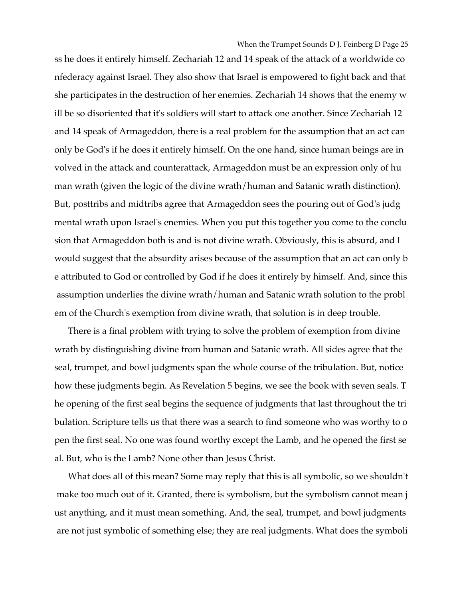ss he does it entirely himself. Zechariah 12 and 14 speak of the attack of a worldwide co nfederacy against Israel. They also show that Israel is empowered to fight back and that she participates in the destruction of her enemies. Zechariah 14 shows that the enemy w ill be so disoriented that it's soldiers will start to attack one another. Since Zechariah 12 and 14 speak of Armageddon, there is a real problem for the assumption that an act can only be God's if he does it entirely himself. On the one hand, since human beings are in volved in the attack and counterattack, Armageddon must be an expression only of hu man wrath (given the logic of the divine wrath/human and Satanic wrath distinction). But, posttribs and midtribs agree that Armageddon sees the pouring out of God's judg mental wrath upon Israel's enemies. When you put this together you come to the conclu sion that Armageddon both is and is not divine wrath. Obviously, this is absurd, and I would suggest that the absurdity arises because of the assumption that an act can only b e attributed to God or controlled by God if he does it entirely by himself. And, since this assumption underlies the divine wrath/human and Satanic wrath solution to the probl em of the Church's exemption from divine wrath, that solution is in deep trouble.

There is a final problem with trying to solve the problem of exemption from divine wrath by distinguishing divine from human and Satanic wrath. All sides agree that the seal, trumpet, and bowl judgments span the whole course of the tribulation. But, notice how these judgments begin. As Revelation 5 begins, we see the book with seven seals. T he opening of the first seal begins the sequence of judgments that last throughout the tri bulation. Scripture tells us that there was a search to find someone who was worthy to o pen the first seal. No one was found worthy except the Lamb, and he opened the first se al. But, who is the Lamb? None other than Jesus Christ.

What does all of this mean? Some may reply that this is all symbolic, so we shouldn't make too much out of it. Granted, there is symbolism, but the symbolism cannot mean j ust anything, and it must mean something. And, the seal, trumpet, and bowl judgments are not just symbolic of something else; they are real judgments. What does the symboli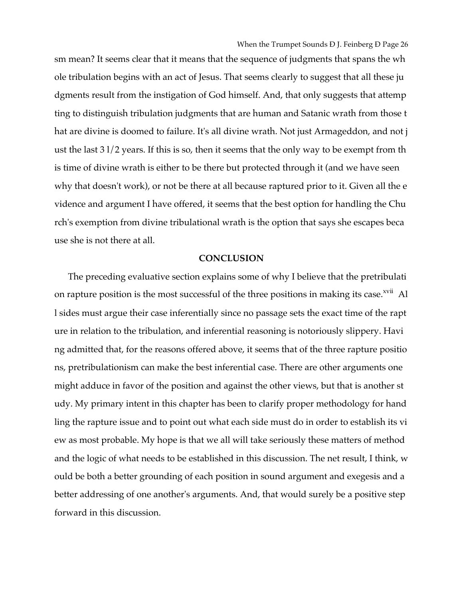sm mean? It seems clear that it means that the sequence of judgments that spans the wh ole tribulation begins with an act of Jesus. That seems clearly to suggest that all these ju dgments result from the instigation of God himself. And, that only suggests that attemp ting to distinguish tribulation judgments that are human and Satanic wrath from those t hat are divine is doomed to failure. It's all divine wrath. Not just Armageddon, and not j ust the last 3 l/2 years. If this is so, then it seems that the only way to be exempt from th is time of divine wrath is either to be there but protected through it (and we have seen why that doesn't work), or not be there at all because raptured prior to it. Given all the e vidence and argument I have offered, it seems that the best option for handling the Chu rch's exemption from divine tribulational wrath is the option that says she escapes beca use she is not there at all.

### **CONCLUSION**

 The preceding evaluative section explains some of why I believe that the pretribulati on rapture position is the most successful of the three positions in making its case.<sup>xvii</sup> Al l sides must argue their case inferentially since no passage sets the exact time of the rapt ure in relation to the tribulation, and inferential reasoning is notoriously slippery. Havi ng admitted that, for the reasons offered above, it seems that of the three rapture positio ns, pretribulationism can make the best inferential case. There are other arguments one might adduce in favor of the position and against the other views, but that is another st udy. My primary intent in this chapter has been to clarify proper methodology for hand ling the rapture issue and to point out what each side must do in order to establish its vi ew as most probable. My hope is that we all will take seriously these matters of method and the logic of what needs to be established in this discussion. The net result, I think, w ould be both a better grounding of each position in sound argument and exegesis and a better addressing of one another's arguments. And, that would surely be a positive step forward in this discussion.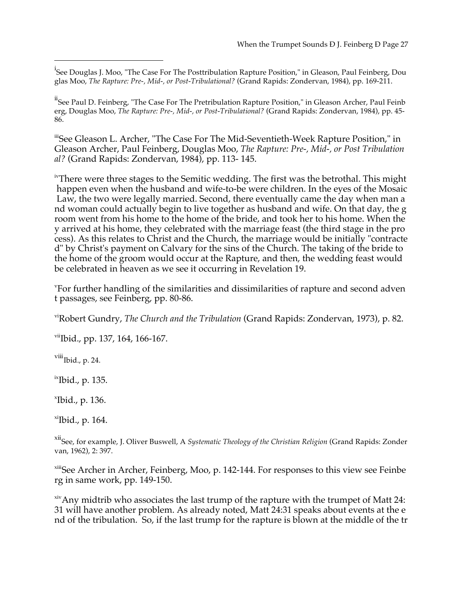<sup>i</sup>See Douglas J. Moo, "The Case For The Posttribulation Rapture Position," in Gleason, Paul Feinberg, Dou glas Moo, *The Rapture: Pre-, Mid-, or Post-Tribulational?* (Grand Rapids: Zondervan, 1984), pp. 169-211.

<sup>ii</sup>See Paul D. Feinberg, "The Case For The Pretribulation Rapture Position," in Gleason Archer, Paul Feinb erg, Douglas Moo, *The Rapture: Pre-, Mid-, or Post-Tribulational?* (Grand Rapids: Zondervan, 1984), pp. 45- 86.

iiiSee Gleason L. Archer, "The Case For The Mid-Seventieth-Week Rapture Position," in Gleason Archer, Paul Feinberg, Douglas Moo, *The Rapture: Pre-, Mid-, or Post Tribulation al?* (Grand Rapids: Zondervan, 1984), pp. 113- 145.

<sup>iv</sup>There were three stages to the Semitic wedding. The first was the betrothal. This might happen even when the husband and wife-to-be were children. In the eyes of the Mosaic Law, the two were legally married. Second, there eventually came the day when man a nd woman could actually begin to live together as husband and wife. On that day, the g room went from his home to the home of the bride, and took her to his home. When the y arrived at his home, they celebrated with the marriage feast (the third stage in the pro cess). As this relates to Christ and the Church, the marriage would be initially "contracte d" by Christ's payment on Calvary for the sins of the Church. The taking of the bride to the home of the groom would occur at the Rapture, and then, the wedding feast would be celebrated in heaven as we see it occurring in Revelation 19.

v For further handling of the similarities and dissimilarities of rapture and second adven t passages, see Feinberg, pp. 80-86.

viRobert Gundry, *The Church and the Tribulation* (Grand Rapids: Zondervan, 1973), p. 82.

 $vii$ [bid., pp. 137, 164, 166-167.

 $viii$ Ibid., p. 24.

 $\overline{a}$ 

ixIbid., p. 135.

x Ibid., p. 136.

 $\text{Nibid.}$ , p. 164.

xiiSee, for example, J. Oliver Buswell, A *Systematic Theology of the Christian Religion* (Grand Rapids: Zonder van, 1962), 2: 397.

xiiiSee Archer in Archer, Feinberg, Moo, p. 142-144. For responses to this view see Feinbe rg in same work, pp. 149-150.

 $x$ ivAny midtrib who associates the last trump of the rapture with the trumpet of Matt 24: 31 will have another problem. As already noted, Matt 24:31 speaks about events at the e nd of the tribulation. So, if the last trump for the rapture is blown at the middle of the tr